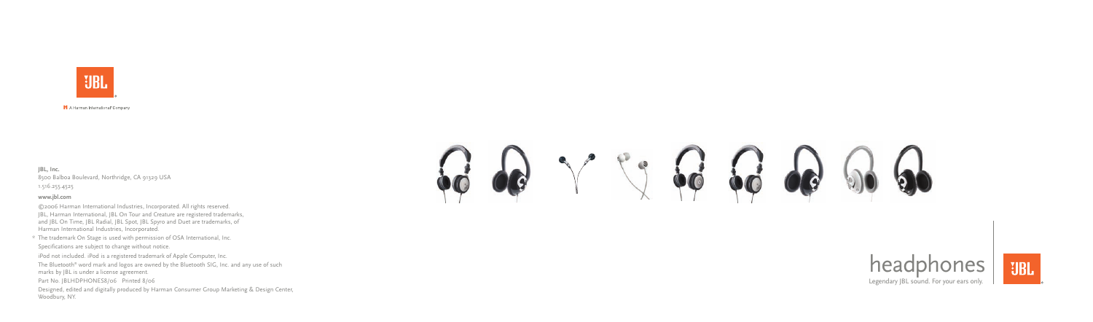

H A Harman International<sup>®</sup> Company

# headphones

Legendary JBL sound. For your ears only.



**JBL, Inc.** 8500 Balboa Boulevard, Northridge, CA 91329 USA

1.516.255.4525

#### **www.jbl.com**

©2006 Harman International Industries, Incorporated. All rights reserved. JBL, Harman International, JBL On Tour and Creature are registered trademarks, and JBL On Time, JBL Radial, JBL Spot, JBL Spyro and Duet are trademarks, of Harman International Industries, Incorporated.

\* The trademark On Stage is used with permission of OSA International, Inc. Specifications are subject to change without notice.

iPod not included. iPod is a registered trademark of Apple Computer, Inc.

The Bluetooth ® word mark and logos are owned by the Bluetooth SIG, Inc. and any use of such marks by JBL is under a license agreement.

Part No. JBLHDPHONES8/06 Printed 8/06

Designed, edited and digitally produced by Harman Consumer Group Marketing & Design Center, Woodbury, NY.

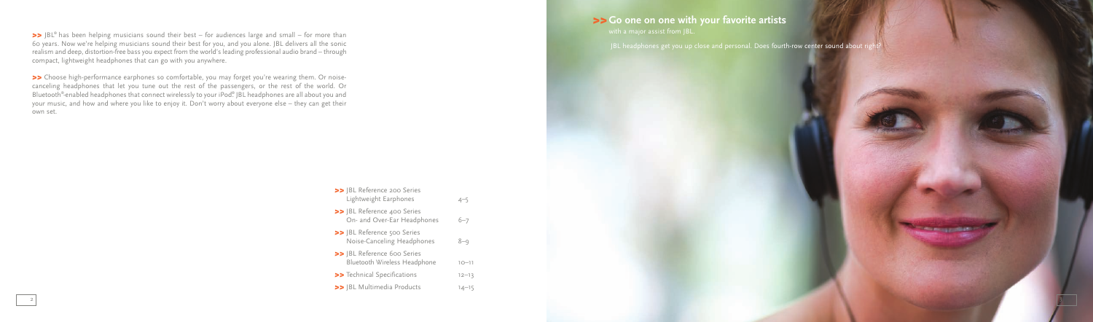>> JBL® has been helping musicians sound their best – for audiences large and small – for more than 60 years. Now we're helping musicians sound their best for you, and you alone. JBL delivers all the sonic realism and deep, distortion-free bass you expect from the world's leading professional audio brand – through compact, lightweight headphones that can go with you anywhere.

*>>* Choose high-performance earphones so comfortable, you may forget you're wearing them. Or noisecanceling headphones that let you tune out the rest of the passengers, or the rest of the world. Or Bluetooth® -enabled headphones that connect wirelessly to your iPod® . JBL headphones are all about you and your music, and how and where you like to enjoy it. Don't worry about everyone else – they can get their own set.

## *>>***Go one on one with your favorite artists**

JBL headphones get you up close and personal. Does fourth-row center sound about right

| >> JBL Reference 200 Series<br>Lightweight Earphones        | $4 - 5$   |
|-------------------------------------------------------------|-----------|
| >> JBL Reference 400 Series<br>On- and Over-Ear Headphones  | $6 - 7$   |
| >> JBL Reference 500 Series<br>Noise-Canceling Headphones   | $8 - 9$   |
| >> IBL Reference 600 Series<br>Bluetooth Wireless Headphone | $10 - 11$ |
| >> Technical Specifications                                 | $12 - 13$ |
| >> JBL Multimedia Products                                  | $14 - 15$ |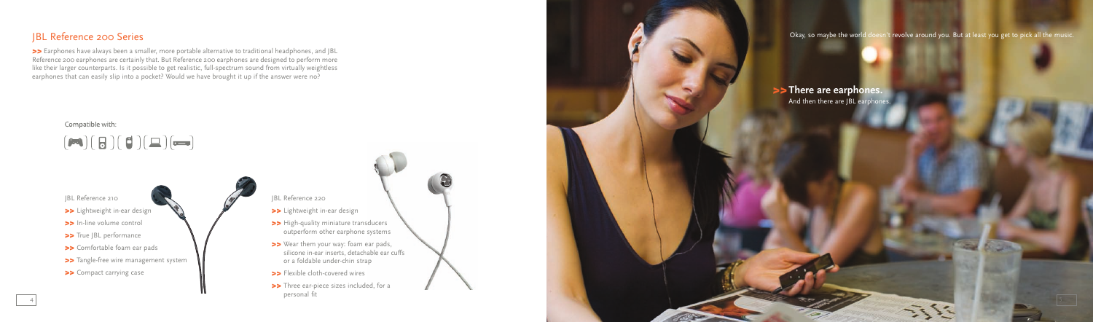## JBL Reference 200 Series

>> Earphones have always been a smaller, more portable alternative to traditional headphones, and JBL Reference 200 earphones are certainly that. But Reference 200 earphones are designed to perform more like their larger counterparts. Is it possible to get realistic, full-spectrum sound from virtually weightless earphones that can easily slip into a pocket? Would we have brought it up if the answer were no?

Okay, so maybe the world doesn't revolve around you. But at least you get to pick all the music.

### *>>***There are earphones.**

And then there are JBL earphones.



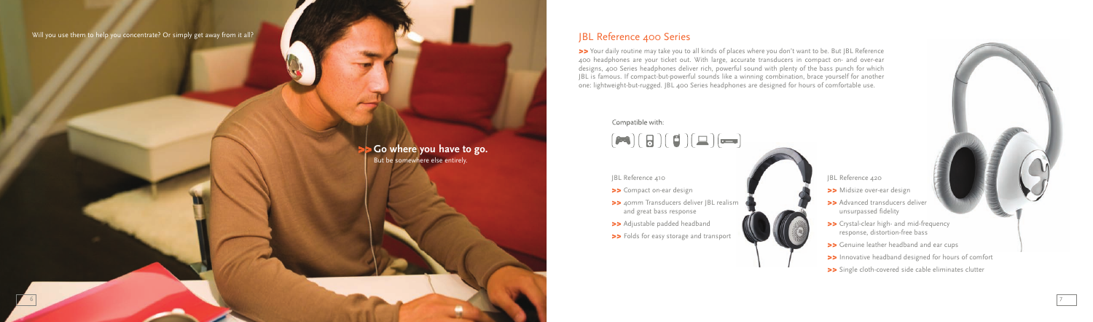#### Will you use them to help you concentrate? Or simply get away from it all?

### *>>* **Go where you have to go.** But be somewhere else entirely.

#### JBL Reference 410

- *>>* Midsize over-ear design
- *>>* Advanced transducers deliver unsurpassed fidelity
- *>>* Crystal-clear high- and mid-frequency response, distortion-free bass
- *>>* Genuine leather headband and ear cups
- *>>* Innovative headband designed for hours of comfort
- >> Single cloth-covered side cable eliminates clutter
- *>>* Compact on-ear design
- *>>* 40mm Transducers deliver JBL realism and great bass response
- *>>* Adjustable padded headband
- *>>* Folds for easy storage and transport

#### JBL Reference 420

>> Your daily routine may take you to all kinds of places where you don't want to be. But JBL Reference 400 headphones are your ticket out. With large, accurate transducers in compact on- and over-ear designs, 400 Series headphones deliver rich, powerful sound with plenty of the bass punch for which JBL is famous. If compact-but-powerful sounds like a winning combination, brace yourself for another one: lightweight-but-rugged. JBL 400 Series headphones are designed for hours of comfortable use.

#### Compatible with:

## $(\blacktriangleright\hspace{-4pt}\mathbf{a})(\mathbf{B})(\mathbf{B})(\mathbf{D})(\mathbf{E})(\blacktriangleright\hspace{-4pt}\mathbf{a})$

## JBL Reference 400 Series

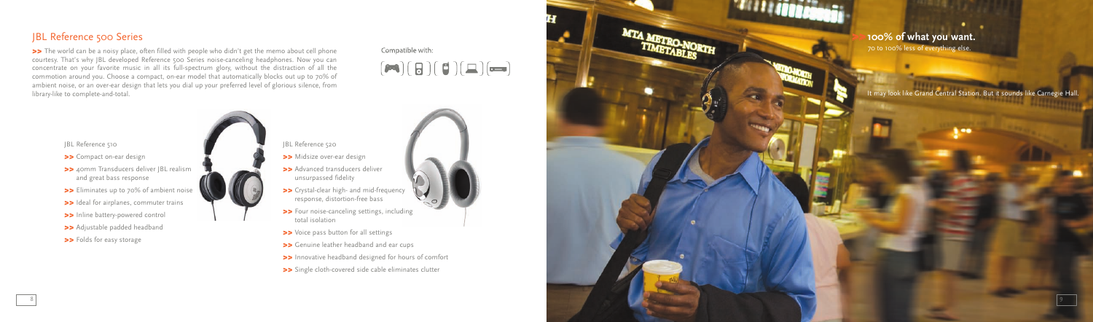## JBL Reference 500 Series

>> The world can be a noisy place, often filled with people who didn't get the memo about cell phone courtesy. That's why JBL developed Reference 500 Series noise-canceling headphones. Now you can concentrate on your favorite music in all its full-spectrum glory, without the distraction of all the commotion around you. Choose a compact, on-ear model that automatically blocks out up to 70% of ambient noise, or an over-ear design that lets you dial up your preferred level of glorious silence, from din bich dose, or an over ear design markets you did up your preferred force or givened force or givened force, norm

Compatible with:  $(\blacktriangleright\hspace{-4pt}\mathbf{a})\mathbf{(B)}(\blacktriangleright\hspace{-4pt}\mathbf{b})\mathbf{(b)}$ 

## *>>***100% of what you want.**

70 to 100% less of everything else.

#### JBL Reference 520

- *>>* Midsize over-ear design
- >> Advanced transducers deliver unsurpassed fidelity
- *>>* Crystal-clear high- and mid-frequency response, distortion-free bass
- *>>* Four noise-canceling settings, including total isolation
- *>>* Voice pass button for all settings
- *>>* Genuine leather headband and ear cups
- *>>* Innovative headband designed for hours of comfort
- *>>* Single cloth-covered side cable eliminates clutter



- *>>* Compact on-ear design
- *>>* 40mm Transducers deliver JBL realism and great bass response
- *>>* Eliminates up to 70% of ambient noise
- >> Ideal for airplanes, commuter trains
- *>>* Inline battery-powered control
- >> Adjustable padded headband
- *>>* Folds for easy storage



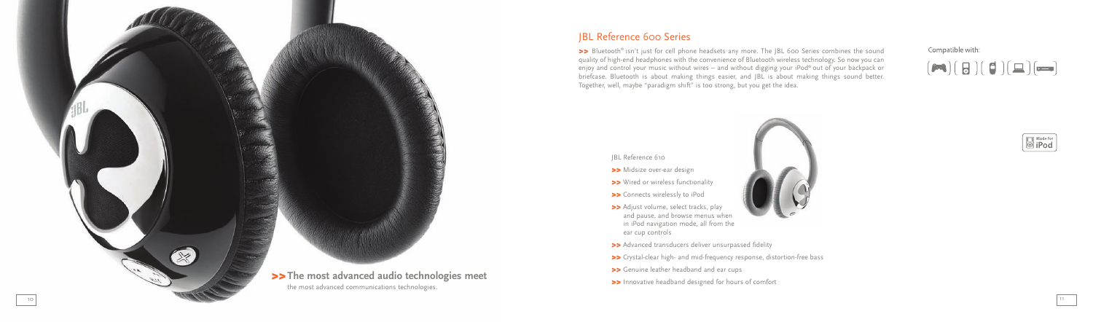## JBL Reference 600 Series

>> Bluetooth® isn't just for cell phone headsets any more. The JBL 600 Series combines the sound quality of high-end headphones with the convenience of Bluetooth wireless technology. So now you can enjoy and control your music without wires – and without digging your iPod ® out of your backpack or briefcase. Bluetooth is about making things easier, and JBL is about making things sound better. Together, well, maybe "paradigm shift" is too strong, but you get the idea.



#### JBL Reference 610

- *>>* Midsize over-ear design
- *>>* Wired or wireless functionality
- *>>* Connects wirelessly to iPod
- >> Adjust volume, select tracks, play and pause, and browse menus when in iPod navigation mode, all from the ear cup controls
- *>>* Advanced transducers deliver unsurpassed fidelity
- >> Crystal-clear high- and mid-frequency response, distortion-free bass
- *>>* Genuine leather headband and ear cups
- *>>* Innovative headband designed for hours of comfort

Compatible with:

## $(\blacktriangleright\hspace{-4pt}\mathbf{a})\mathbf{(b)}(\mathbf{b})\mathbf{(c)}(\mathbf{b})$



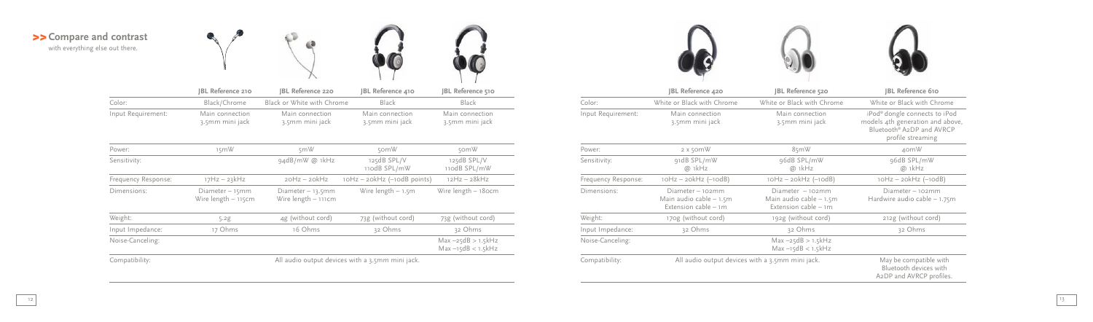### *>>***Compare and contrast** with everything else out there.





|                    | IBL Reference 210                  | <b>JBL Reference 220</b>           | JBL Reference 410                  | JBL Reference 510                  |  |
|--------------------|------------------------------------|------------------------------------|------------------------------------|------------------------------------|--|
| Color:             | Black/Chrome                       | Black or White with Chrome         | Black                              | Black                              |  |
| Input Requirement: | Main connection<br>3.5mm mini jack | Main connection<br>3.5mm mini jack | Main connection<br>3.5mm mini jack | Main connection<br>3.5mm mini jack |  |





| Power:              | 15mW                                             | 5mW                                        | 50mW                             | 50mW                                          |
|---------------------|--------------------------------------------------|--------------------------------------------|----------------------------------|-----------------------------------------------|
| Sensitivity:        |                                                  | 94dB/mW @ 1kHz                             | 125dB SPL/V<br>110dB SPL/mW      | 125dB SPL/V<br>110dB SPL/mW                   |
| Frequency Response: | $17Hz - 23kHz$                                   | $20Hz - 20kHz$                             | $10Hz - 20kHz$ (- $10dB$ points) | $12Hz - 28kHz$                                |
| Dimensions:         | Diameter - 15mm<br>Wire length - 115cm           | Diameter $-13.5$ mm<br>Wire length - 111cm | Wire length $-1.5m$              | Wire length - 180cm                           |
| Weight:             | 5.2g                                             | 4g (without cord)                          | 73g (without cord)               | 73g (without cord)                            |
| Input Impedance:    | 17 Ohms                                          | 16 Ohms                                    | 32 Ohms                          | 32 Ohms                                       |
| Noise-Canceling:    |                                                  |                                            |                                  | $Max -25dB > 1.5kHz$<br>$Max - 15dB < 1.5kHz$ |
| Compatibility:      | All audio output devices with a 3.5mm mini jack. |                                            |                                  |                                               |



|                     | JBL Reference 420                                                     | JBL Reference 520                                                       | <b>IBL Reference 610</b>                                                                                                        |
|---------------------|-----------------------------------------------------------------------|-------------------------------------------------------------------------|---------------------------------------------------------------------------------------------------------------------------------|
| Color:              | White or Black with Chrome                                            | White or Black with Chrome                                              | White or Black with Chrome                                                                                                      |
| Input Requirement:  | Main connection<br>3.5mm mini jack                                    | Main connection<br>3.5mm mini jack                                      | iPod <sup>®</sup> dongle connects to iPod<br>models 4th generation and above,<br>Bluetooth® A2DP and AVRCP<br>profile streaming |
| Power:              | $2x$ somW                                                             | 85mW                                                                    | 40mW                                                                                                                            |
| Sensitivity:        | 91dB SPL/mW<br>@ 1kHz                                                 | 96dB SPL/mW<br>@ 1kHz                                                   | 96dB SPL/mW<br>@ 1kHz                                                                                                           |
| Frequency Response: | $10Hz - 20kHz$ ( $-10dB$ )                                            | $10Hz - 20kHz$ ( $-10dB$ )                                              | $10Hz - 20kHz$ ( $-10dB$ )                                                                                                      |
| Dimensions:         | Diameter - 102mm<br>Main audio cable $-1.5m$<br>Extension cable $-1m$ | $Diameter - 102mm$<br>Main audio cable $-1.5m$<br>Extension cable $-1m$ | Diameter - 102mm<br>Hardwire audio cable $-1.75$ m                                                                              |
| Weight:             | 170g (without cord)                                                   | 192g (without cord)                                                     | 212g (without cord)                                                                                                             |
| Input Impedance:    | 32 Ohms                                                               | 32 Ohms                                                                 | 32 Ohms                                                                                                                         |
| Noise-Canceling:    |                                                                       | $Max -25dB > 1.5kHz$<br>$Max - 15dB < 1.5kHz$                           |                                                                                                                                 |
| Compatibility:      | All audio output devices with a 3.5mm mini jack.                      |                                                                         | May be compatible with<br>Bluetooth devices with<br>A <sub>2</sub> DP and AVRCP profiles.                                       |

|                     | JBL Reference 420                                                    | BL Reference 520                                                      | <b>JBL Reference 610</b>                                                                                                        |
|---------------------|----------------------------------------------------------------------|-----------------------------------------------------------------------|---------------------------------------------------------------------------------------------------------------------------------|
| Color:              | White or Black with Chrome                                           | White or Black with Chrome                                            | White or Black with Chrome                                                                                                      |
| Input Requirement:  | Main connection<br>3.5mm mini jack                                   | Main connection<br>3.5mm mini jack                                    | iPod <sup>®</sup> dongle connects to iPod<br>models 4th generation and above,<br>Bluetooth® A2DP and AVRCP<br>profile streaming |
| Power:              | $2x$ somW                                                            | 85mW                                                                  | 40mW                                                                                                                            |
| Sensitivity:        | 91dB SPL/mW<br>@ 1kHz                                                | 96dB SPL/mW<br>@ 1kHz                                                 | 96dB SPL/mW<br>@ 1kHz                                                                                                           |
| Frequency Response: | $10Hz - 20kHz$ ( $-10dB$ )                                           | $10Hz - 20kHz$ ( $-10dB$ )                                            | $10Hz - 20kHz$ ( $-10dB$ )                                                                                                      |
| Dimensions:         | Diameter - 102mm<br>Main audio cable - 1.5m<br>Extension cable $-1m$ | Diameter - 102mm<br>Main audio cable $-1.5m$<br>Extension cable $-1m$ | Diameter - 102mm<br>Hardwire audio cable $-1.75$ m                                                                              |
| Weight:             | 170g (without cord)                                                  | 192g (without cord)                                                   | 212g (without cord)                                                                                                             |
| Input Impedance:    | 32 Ohms                                                              | 32 Ohms                                                               | 32 Ohms                                                                                                                         |
| Noise-Canceling:    |                                                                      | $Max -25dB > 1.5kHz$<br>$Max - 15dB < 1.5kHz$                         |                                                                                                                                 |
| Compatibility:      | All audio output devices with a 3.5mm mini jack.                     |                                                                       | May be compatible with<br>Bluetooth devices with<br>A2DP and AVRCP profiles.                                                    |